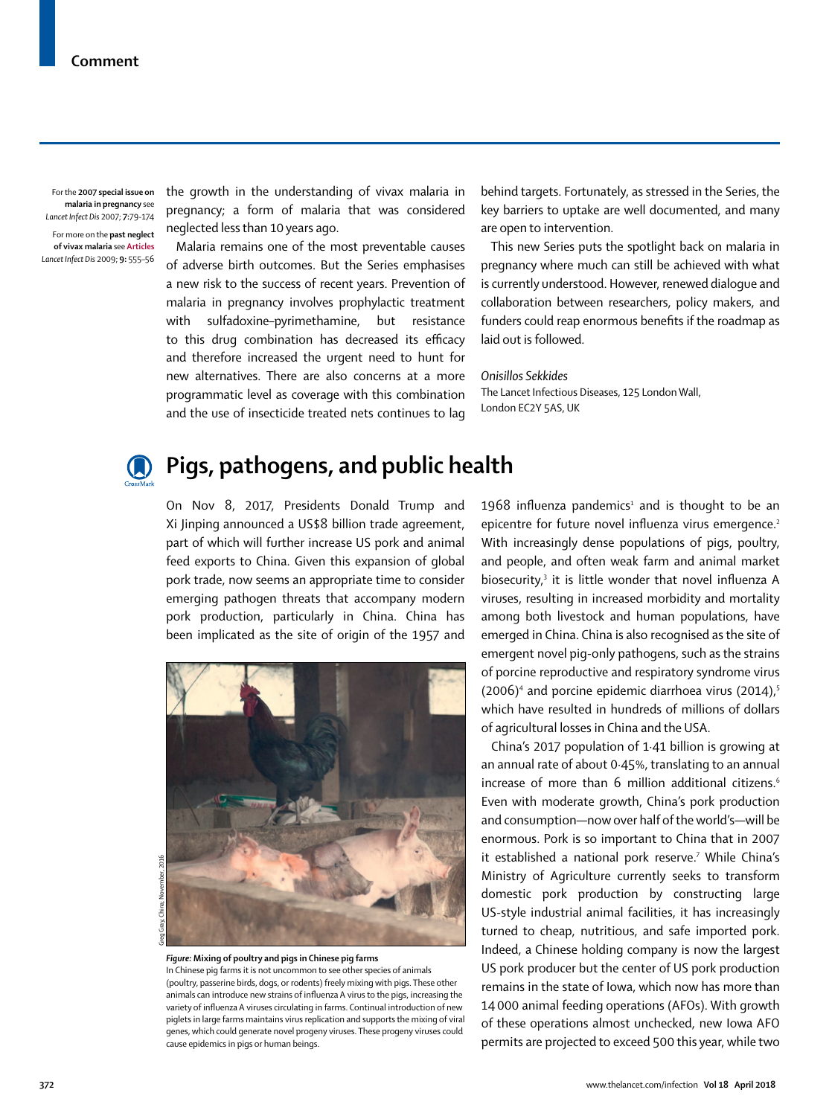For the **2007 special issue on malaria in pregnancy** see *Lancet Infect Dis* 2007; **7:**79-174 For more on the **past neglect of vivax malaria** see **Articles** *Lancet Infect Dis* 2009; **9:** 555–56 the growth in the understanding of [vivax malaria](http://www.thelancet.com/journals/laninf/article/PIIS1473-3099(09)70177-X/fulltext) in pregnancy; a form of malaria that was considered neglected less than 10 years ago.

Malaria remains one of the most preventable causes of adverse birth outcomes. But the Series emphasises a new risk to the success of recent years. Prevention of malaria in pregnancy involves prophylactic treatment with sulfadoxine–pyrimethamine, but resistance to this drug combination has decreased its efficacy and therefore increased the urgent need to hunt for new alternatives. There are also concerns at a more programmatic level as coverage with this combination and the use of insecticide treated nets continues to lag behind targets. Fortunately, as stressed in the Series, the key barriers to uptake are well documented, and many are open to intervention.

This new Series puts the spotlight back on malaria in pregnancy where much can still be achieved with what is currently understood. However, renewed dialogue and collaboration between researchers, policy makers, and funders could reap enormous benefits if the roadmap as laid out is followed.

## *Onisillos Sekkides*

The Lancet Infectious Diseases, 125 London Wall, London EC2Y 5AS, UK



## **Pigs, pathogens, and public health**

On Nov 8, 2017, Presidents Donald Trump and Xi Jinping announced a US\$8 billion trade agreement, part of which will further increase US pork and animal feed exports to China. Given this expansion of global pork trade, now seems an appropriate time to consider emerging pathogen threats that accompany modern pork production, particularly in China. China has been implicated as the site of origin of the 1957 and



*Figure:* **Mixing of poultry and pigs in Chinese pig farms**

In Chinese pig farms it is not uncommon to see other species of animals (poultry, passerine birds, dogs, or rodents) freely mixing with pigs. These other animals can introduce new strains of influenza A virus to the pigs, increasing the variety of influenza A viruses circulating in farms. Continual introduction of new piglets in large farms maintains virus replication and supports the mixing of viral genes, which could generate novel progeny viruses. These progeny viruses could cause epidemics in pigs or human beings.

1968 influenza pandemics<sup>1</sup> and is thought to be an epicentre for future novel influenza virus emergence.<sup>2</sup> With increasingly dense populations of pigs, poultry, and people, and often weak farm and animal market biosecurity,<sup>3</sup> it is little wonder that novel influenza A viruses, resulting in increased morbidity and mortality among both livestock and human populations, have emerged in China. China is also recognised as the site of emergent novel pig-only pathogens, such as the strains of porcine reproductive and respiratory syndrome virus  $(2006)^4$  and porcine epidemic diarrhoea virus  $(2014)^{5}$ which have resulted in hundreds of millions of dollars of agricultural losses in China and the USA.

China's 2017 population of 1·41 billion is growing at an annual rate of about 0·45%, translating to an annual increase of more than 6 million additional citizens.<sup>6</sup> Even with moderate growth, China's pork production and consumption—now over half of the world's—will be enormous. Pork is so important to China that in 2007 it established a national pork reserve.<sup>7</sup> While China's Ministry of Agriculture currently seeks to transform domestic pork production by constructing large US-style industrial animal facilities, it has increasingly turned to cheap, nutritious, and safe imported pork. Indeed, a Chinese holding company is now the largest US pork producer but the center of US pork production remains in the state of Iowa, which now has more than 14 000 animal feeding operations (AFOs). With growth of these operations almost unchecked, new Iowa AFO permits are projected to exceed 500 this year, while two